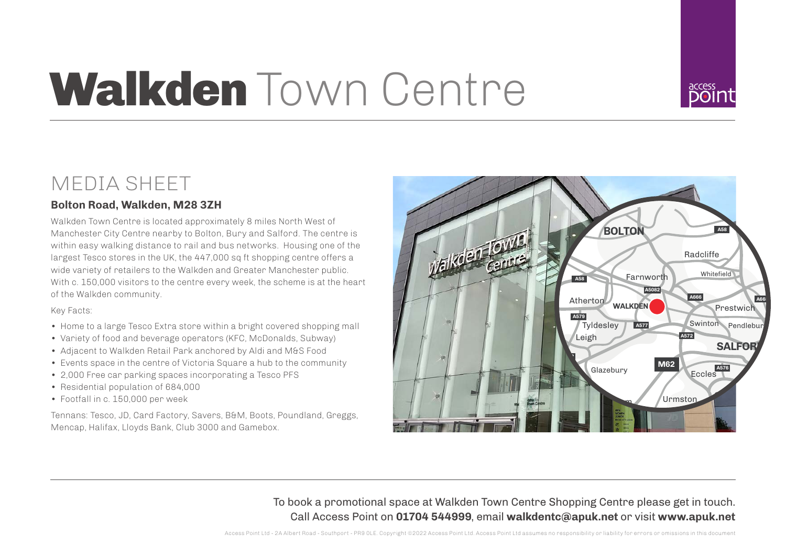# Walkden Town Centre



### MEDIA SHEET

### **Bolton Road, Walkden, M28 3ZH**

Walkden Town Centre is located approximately 8 miles North West of Manchester City Centre nearby to Bolton, Bury and Salford. The centre is within easy walking distance to rail and bus networks. Housing one of the largest Tesco stores in the UK, the 447,000 sq ft shopping centre offers a wide variety of retailers to the Walkden and Greater Manchester public. With c. 150,000 visitors to the centre every week, the scheme is at the heart of the Walkden community.

### Key Facts:

- Home to a large Tesco Extra store within a bright covered shopping mall
- Variety of food and beverage operators (KFC, McDonalds, Subway)
- Adjacent to Walkden Retail Park anchored by Aldi and M&S Food
- Events space in the centre of Victoria Square a hub to the community
- 2,000 Free car parking spaces incorporating a Tesco PFS
- Residential population of 684,000
- Footfall in c. 150,000 per week

Tennans: Tesco, JD, Card Factory, Savers, B&M, Boots, Poundland, Greggs, Mencap, Halifax, Lloyds Bank, Club 3000 and Gamebox.



To book a promotional space at Walkden Town Centre Shopping Centre please get in touch. Call Access Point on **01704 544999**, email **walkdentc@apuk.net** or visit **www.apuk.net**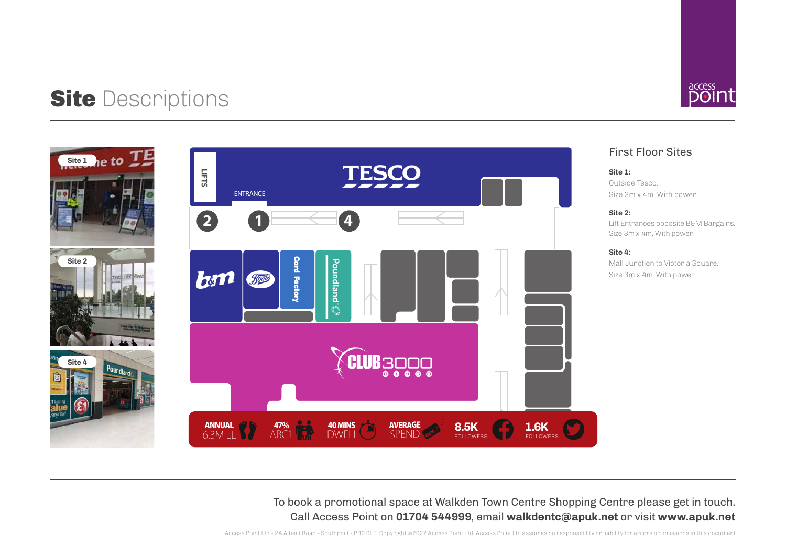## Site Descriptions accessive and the set of the set of the set of the set of the set of the set of the set of the set of the set of the set of the set of the set of the set of the set of the set of the set of the set of the







First Floor Sites

**Site 1:** Outside Tesco. Size 3m x 4m. With power.

#### **Site 2:**

Lift Entrances opposite B&M Bargains. Size 3m x 4m. With power.

#### **Site 4:**

Mall Junction to Victoria Square. Size 3m x 4m. With power.

To book a promotional space at Walkden Town Centre Shopping Centre please get in touch. Call Access Point on **01704 544999**, email **walkdentc@apuk.net** or visit **www.apuk.net**

Access Point Ltd - 2A Albert Road - Southport - PR9 0LE. Copyright ©2022 Access Point Ltd. Access Point Ltd assumes no responsibility or liability for errors or omissions in this document